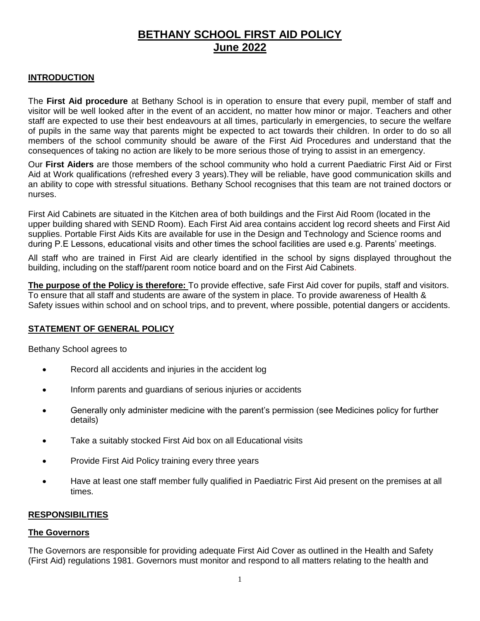# **BETHANY SCHOOL FIRST AID POLICY June 2022**

#### **INTRODUCTION**

The **First Aid procedure** at Bethany School is in operation to ensure that every pupil, member of staff and visitor will be well looked after in the event of an accident, no matter how minor or major. Teachers and other staff are expected to use their best endeavours at all times, particularly in emergencies, to secure the welfare of pupils in the same way that parents might be expected to act towards their children. In order to do so all members of the school community should be aware of the First Aid Procedures and understand that the consequences of taking no action are likely to be more serious those of trying to assist in an emergency.

Our **First Aiders** are those members of the school community who hold a current Paediatric First Aid or First Aid at Work qualifications (refreshed every 3 years).They will be reliable, have good communication skills and an ability to cope with stressful situations. Bethany School recognises that this team are not trained doctors or nurses.

First Aid Cabinets are situated in the Kitchen area of both buildings and the First Aid Room (located in the upper building shared with SEND Room). Each First Aid area contains accident log record sheets and First Aid supplies. Portable First Aids Kits are available for use in the Design and Technology and Science rooms and during P.E Lessons, educational visits and other times the school facilities are used e.g. Parents' meetings.

All staff who are trained in First Aid are clearly identified in the school by signs displayed throughout the building, including on the staff/parent room notice board and on the First Aid Cabinets.

**The purpose of the Policy is therefore:** To provide effective, safe First Aid cover for pupils, staff and visitors. To ensure that all staff and students are aware of the system in place. To provide awareness of Health & Safety issues within school and on school trips, and to prevent, where possible, potential dangers or accidents.

#### **STATEMENT OF GENERAL POLICY**

Bethany School agrees to

- Record all accidents and injuries in the accident log
- Inform parents and guardians of serious injuries or accidents
- Generally only administer medicine with the parent's permission (see Medicines policy for further details)
- Take a suitably stocked First Aid box on all Educational visits
- Provide First Aid Policy training every three years
- Have at least one staff member fully qualified in Paediatric First Aid present on the premises at all times.

#### **RESPONSIBILITIES**

#### **The Governors**

The Governors are responsible for providing adequate First Aid Cover as outlined in the Health and Safety (First Aid) regulations 1981. Governors must monitor and respond to all matters relating to the health and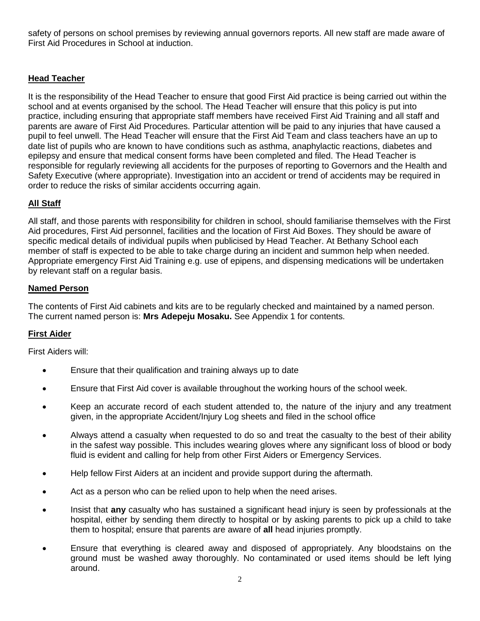safety of persons on school premises by reviewing annual governors reports. All new staff are made aware of First Aid Procedures in School at induction.

## **Head Teacher**

It is the responsibility of the Head Teacher to ensure that good First Aid practice is being carried out within the school and at events organised by the school. The Head Teacher will ensure that this policy is put into practice, including ensuring that appropriate staff members have received First Aid Training and all staff and parents are aware of First Aid Procedures. Particular attention will be paid to any injuries that have caused a pupil to feel unwell. The Head Teacher will ensure that the First Aid Team and class teachers have an up to date list of pupils who are known to have conditions such as asthma, anaphylactic reactions, diabetes and epilepsy and ensure that medical consent forms have been completed and filed. The Head Teacher is responsible for regularly reviewing all accidents for the purposes of reporting to Governors and the Health and Safety Executive (where appropriate). Investigation into an accident or trend of accidents may be required in order to reduce the risks of similar accidents occurring again.

## **All Staff**

All staff, and those parents with responsibility for children in school, should familiarise themselves with the First Aid procedures, First Aid personnel, facilities and the location of First Aid Boxes. They should be aware of specific medical details of individual pupils when publicised by Head Teacher. At Bethany School each member of staff is expected to be able to take charge during an incident and summon help when needed. Appropriate emergency First Aid Training e.g. use of epipens, and dispensing medications will be undertaken by relevant staff on a regular basis.

## **Named Person**

The contents of First Aid cabinets and kits are to be regularly checked and maintained by a named person. The current named person is: **Mrs Adepeju Mosaku.** See Appendix 1 for contents.

## **First Aider**

First Aiders will:

- Ensure that their qualification and training always up to date
- Ensure that First Aid cover is available throughout the working hours of the school week.
- Keep an accurate record of each student attended to, the nature of the injury and any treatment given, in the appropriate Accident/Injury Log sheets and filed in the school office
- Always attend a casualty when requested to do so and treat the casualty to the best of their ability in the safest way possible. This includes wearing gloves where any significant loss of blood or body fluid is evident and calling for help from other First Aiders or Emergency Services.
- Help fellow First Aiders at an incident and provide support during the aftermath.
- Act as a person who can be relied upon to help when the need arises.
- Insist that **any** casualty who has sustained a significant head injury is seen by professionals at the hospital, either by sending them directly to hospital or by asking parents to pick up a child to take them to hospital; ensure that parents are aware of **all** head injuries promptly.
- Ensure that everything is cleared away and disposed of appropriately. Any bloodstains on the ground must be washed away thoroughly. No contaminated or used items should be left lying around.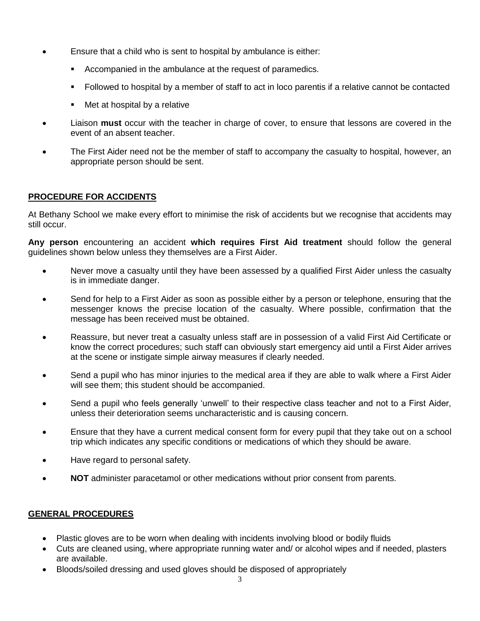- Ensure that a child who is sent to hospital by ambulance is either:
	- Accompanied in the ambulance at the request of paramedics.
	- Followed to hospital by a member of staff to act in loco parentis if a relative cannot be contacted
	- Met at hospital by a relative
- Liaison **must** occur with the teacher in charge of cover, to ensure that lessons are covered in the event of an absent teacher.
- The First Aider need not be the member of staff to accompany the casualty to hospital, however, an appropriate person should be sent.

## **PROCEDURE FOR ACCIDENTS**

At Bethany School we make every effort to minimise the risk of accidents but we recognise that accidents may still occur.

**Any person** encountering an accident **which requires First Aid treatment** should follow the general guidelines shown below unless they themselves are a First Aider.

- Never move a casualty until they have been assessed by a qualified First Aider unless the casualty is in immediate danger.
- Send for help to a First Aider as soon as possible either by a person or telephone, ensuring that the messenger knows the precise location of the casualty. Where possible, confirmation that the message has been received must be obtained.
- Reassure, but never treat a casualty unless staff are in possession of a valid First Aid Certificate or know the correct procedures; such staff can obviously start emergency aid until a First Aider arrives at the scene or instigate simple airway measures if clearly needed.
- Send a pupil who has minor injuries to the medical area if they are able to walk where a First Aider will see them; this student should be accompanied.
- Send a pupil who feels generally 'unwell' to their respective class teacher and not to a First Aider, unless their deterioration seems uncharacteristic and is causing concern.
- Ensure that they have a current medical consent form for every pupil that they take out on a school trip which indicates any specific conditions or medications of which they should be aware.
- Have regard to personal safety.
- **NOT** administer paracetamol or other medications without prior consent from parents.

## **GENERAL PROCEDURES**

- Plastic gloves are to be worn when dealing with incidents involving blood or bodily fluids
- Cuts are cleaned using, where appropriate running water and/ or alcohol wipes and if needed, plasters are available.
- Bloods/soiled dressing and used gloves should be disposed of appropriately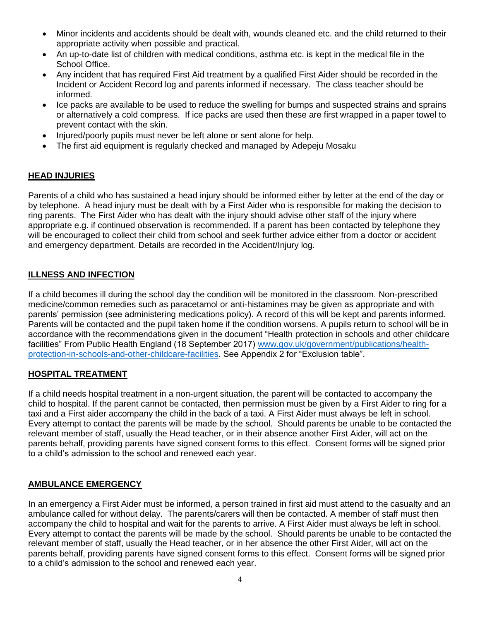- Minor incidents and accidents should be dealt with, wounds cleaned etc. and the child returned to their appropriate activity when possible and practical.
- An up-to-date list of children with medical conditions, asthma etc. is kept in the medical file in the School Office.
- Any incident that has required First Aid treatment by a qualified First Aider should be recorded in the Incident or Accident Record log and parents informed if necessary. The class teacher should be informed.
- Ice packs are available to be used to reduce the swelling for bumps and suspected strains and sprains or alternatively a cold compress. If ice packs are used then these are first wrapped in a paper towel to prevent contact with the skin.
- Injured/poorly pupils must never be left alone or sent alone for help.
- The first aid equipment is regularly checked and managed by Adepeju Mosaku

#### **HEAD INJURIES**

Parents of a child who has sustained a head injury should be informed either by letter at the end of the day or by telephone. A head injury must be dealt with by a First Aider who is responsible for making the decision to ring parents. The First Aider who has dealt with the injury should advise other staff of the injury where appropriate e.g. if continued observation is recommended. If a parent has been contacted by telephone they will be encouraged to collect their child from school and seek further advice either from a doctor or accident and emergency department. Details are recorded in the Accident/Injury log.

#### **ILLNESS AND INFECTION**

If a child becomes ill during the school day the condition will be monitored in the classroom. Non-prescribed medicine/common remedies such as paracetamol or anti-histamines may be given as appropriate and with parents' permission (see administering medications policy). A record of this will be kept and parents informed. Parents will be contacted and the pupil taken home if the condition worsens. A pupils return to school will be in accordance with the recommendations given in the document "Health protection in schools and other childcare facilities" From Public Health England (18 September 2017) [www.gov.uk/government/publications/health](http://www.gov.uk/government/publications/health-protection-in-schools-and-other-childcare-facilities)[protection-in-schools-and-other-childcare-facilities.](http://www.gov.uk/government/publications/health-protection-in-schools-and-other-childcare-facilities) See Appendix 2 for "Exclusion table".

#### **HOSPITAL TREATMENT**

If a child needs hospital treatment in a non-urgent situation, the parent will be contacted to accompany the child to hospital. If the parent cannot be contacted, then permission must be given by a First Aider to ring for a taxi and a First aider accompany the child in the back of a taxi. A First Aider must always be left in school. Every attempt to contact the parents will be made by the school. Should parents be unable to be contacted the relevant member of staff, usually the Head teacher, or in their absence another First Aider, will act on the parents behalf, providing parents have signed consent forms to this effect. Consent forms will be signed prior to a child's admission to the school and renewed each year.

#### **AMBULANCE EMERGENCY**

In an emergency a First Aider must be informed, a person trained in first aid must attend to the casualty and an ambulance called for without delay. The parents/carers will then be contacted. A member of staff must then accompany the child to hospital and wait for the parents to arrive. A First Aider must always be left in school. Every attempt to contact the parents will be made by the school. Should parents be unable to be contacted the relevant member of staff, usually the Head teacher, or in her absence the other First Aider, will act on the parents behalf, providing parents have signed consent forms to this effect. Consent forms will be signed prior to a child's admission to the school and renewed each year.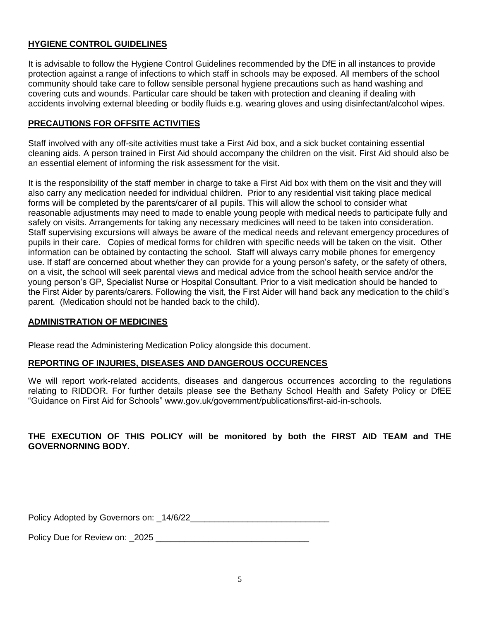#### **HYGIENE CONTROL GUIDELINES**

It is advisable to follow the Hygiene Control Guidelines recommended by the DfE in all instances to provide protection against a range of infections to which staff in schools may be exposed. All members of the school community should take care to follow sensible personal hygiene precautions such as hand washing and covering cuts and wounds. Particular care should be taken with protection and cleaning if dealing with accidents involving external bleeding or bodily fluids e.g. wearing gloves and using disinfectant/alcohol wipes.

#### **PRECAUTIONS FOR OFFSITE ACTIVITIES**

Staff involved with any off-site activities must take a First Aid box, and a sick bucket containing essential cleaning aids. A person trained in First Aid should accompany the children on the visit. First Aid should also be an essential element of informing the risk assessment for the visit.

It is the responsibility of the staff member in charge to take a First Aid box with them on the visit and they will also carry any medication needed for individual children. Prior to any residential visit taking place medical forms will be completed by the parents/carer of all pupils. This will allow the school to consider what reasonable adjustments may need to made to enable young people with medical needs to participate fully and safely on visits. Arrangements for taking any necessary medicines will need to be taken into consideration. Staff supervising excursions will always be aware of the medical needs and relevant emergency procedures of pupils in their care. Copies of medical forms for children with specific needs will be taken on the visit. Other information can be obtained by contacting the school. Staff will always carry mobile phones for emergency use. If staff are concerned about whether they can provide for a young person's safety, or the safety of others, on a visit, the school will seek parental views and medical advice from the school health service and/or the young person's GP, Specialist Nurse or Hospital Consultant. Prior to a visit medication should be handed to the First Aider by parents/carers. Following the visit, the First Aider will hand back any medication to the child's parent. (Medication should not be handed back to the child).

#### **ADMINISTRATION OF MEDICINES**

Please read the Administering Medication Policy alongside this document.

#### **REPORTING OF INJURIES, DISEASES AND DANGEROUS OCCURENCES**

We will report work-related accidents, diseases and dangerous occurrences according to the regulations relating to RIDDOR. For further details please see the Bethany School Health and Safety Policy or DfEE "Guidance on First Aid for Schools" www.gov.uk/government/publications/first-aid-in-schools.

#### **THE EXECUTION OF THIS POLICY will be monitored by both the FIRST AID TEAM and THE GOVERNORNING BODY.**

Policy Adopted by Governors on: \_14/6/22\_\_\_\_\_\_\_\_\_\_\_\_\_\_\_\_\_\_\_\_\_\_\_\_\_\_\_\_\_

Policy Due for Review on: 2025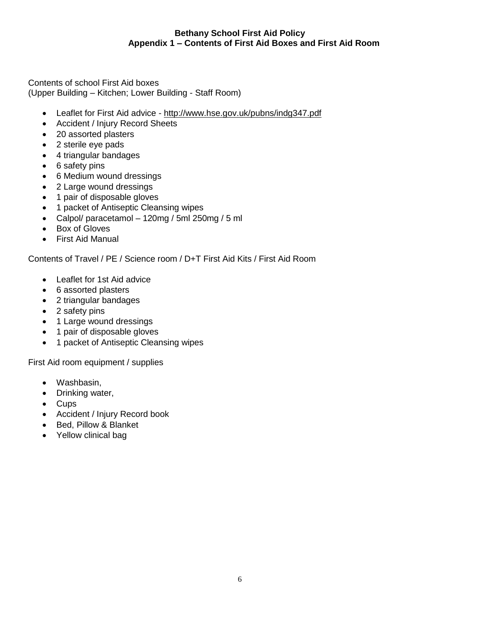#### **Bethany School First Aid Policy Appendix 1 – Contents of First Aid Boxes and First Aid Room**

Contents of school First Aid boxes (Upper Building – Kitchen; Lower Building - Staff Room)

- Leaflet for First Aid advice <http://www.hse.gov.uk/pubns/indg347.pdf>
- Accident / Injury Record Sheets
- 20 assorted plasters
- 2 sterile eye pads
- 4 triangular bandages
- 6 safety pins
- 6 Medium wound dressings
- 2 Large wound dressings
- 1 pair of disposable gloves
- 1 packet of Antiseptic Cleansing wipes
- Calpol/ paracetamol 120mg / 5ml 250mg / 5 ml
- Box of Gloves
- First Aid Manual

Contents of Travel / PE / Science room / D+T First Aid Kits / First Aid Room

- Leaflet for 1st Aid advice
- 6 assorted plasters
- 2 triangular bandages
- 2 safety pins
- 1 Large wound dressings
- 1 pair of disposable gloves
- 1 packet of Antiseptic Cleansing wipes

First Aid room equipment / supplies

- Washbasin,
- Drinking water,
- Cups
- Accident / Injury Record book
- Bed, Pillow & Blanket
- Yellow clinical bag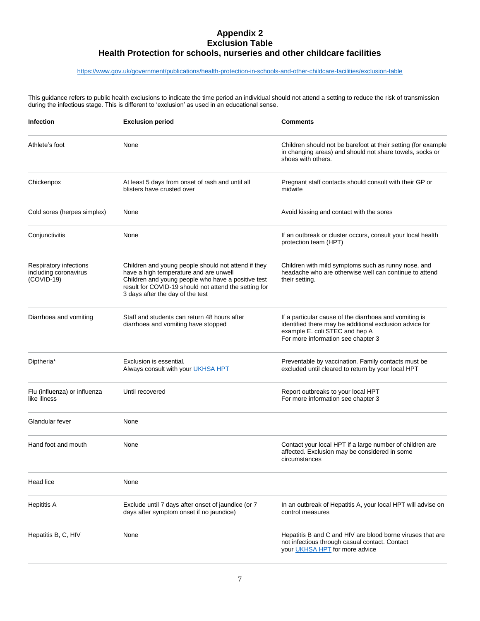#### **Appendix 2 Exclusion Table Health Protection for schools, nurseries and other childcare facilities**

#### <https://www.gov.uk/government/publications/health-protection-in-schools-and-other-childcare-facilities/exclusion-table>

This guidance refers to public health exclusions to indicate the time period an individual should not attend a setting to reduce the risk of transmission during the infectious stage. This is different to 'exclusion' as used in an educational sense.

| <b>Infection</b>                                                | <b>Exclusion period</b>                                                                                                                                                                                                                          | <b>Comments</b>                                                                                                                                                                           |
|-----------------------------------------------------------------|--------------------------------------------------------------------------------------------------------------------------------------------------------------------------------------------------------------------------------------------------|-------------------------------------------------------------------------------------------------------------------------------------------------------------------------------------------|
| Athlete's foot                                                  | None                                                                                                                                                                                                                                             | Children should not be barefoot at their setting (for example<br>in changing areas) and should not share towels, socks or<br>shoes with others.                                           |
| Chickenpox                                                      | At least 5 days from onset of rash and until all<br>blisters have crusted over                                                                                                                                                                   | Pregnant staff contacts should consult with their GP or<br>midwife                                                                                                                        |
| Cold sores (herpes simplex)                                     | None                                                                                                                                                                                                                                             | Avoid kissing and contact with the sores                                                                                                                                                  |
| Conjunctivitis                                                  | None                                                                                                                                                                                                                                             | If an outbreak or cluster occurs, consult your local health<br>protection team (HPT)                                                                                                      |
| Respiratory infections<br>including coronavirus<br>$(COVID-19)$ | Children and young people should not attend if they<br>have a high temperature and are unwell<br>Children and young people who have a positive test<br>result for COVID-19 should not attend the setting for<br>3 days after the day of the test | Children with mild symptoms such as runny nose, and<br>headache who are otherwise well can continue to attend<br>their setting.                                                           |
| Diarrhoea and vomiting                                          | Staff and students can return 48 hours after<br>diarrhoea and vomiting have stopped                                                                                                                                                              | If a particular cause of the diarrhoea and vomiting is<br>identified there may be additional exclusion advice for<br>example E. coli STEC and hep A<br>For more information see chapter 3 |
| Diptheria <sup>*</sup>                                          | Exclusion is essential.<br>Always consult with your UKHSA HPT                                                                                                                                                                                    | Preventable by vaccination. Family contacts must be<br>excluded until cleared to return by your local HPT                                                                                 |
| Flu (influenza) or influenza<br>like illness                    | Until recovered                                                                                                                                                                                                                                  | Report outbreaks to your local HPT<br>For more information see chapter 3                                                                                                                  |
| Glandular fever                                                 | None                                                                                                                                                                                                                                             |                                                                                                                                                                                           |
| Hand foot and mouth                                             | None                                                                                                                                                                                                                                             | Contact your local HPT if a large number of children are<br>affected. Exclusion may be considered in some<br>circumstances                                                                |
| Head lice                                                       | None                                                                                                                                                                                                                                             |                                                                                                                                                                                           |
| <b>Hepititis A</b>                                              | Exclude until 7 days after onset of jaundice (or 7<br>days after symptom onset if no jaundice)                                                                                                                                                   | In an outbreak of Hepatitis A, your local HPT will advise on<br>control measures                                                                                                          |
| Hepatitis B, C, HIV                                             | None                                                                                                                                                                                                                                             | Hepatitis B and C and HIV are blood borne viruses that are<br>not infectious through casual contact. Contact<br>your UKHSA HPT for more advice                                            |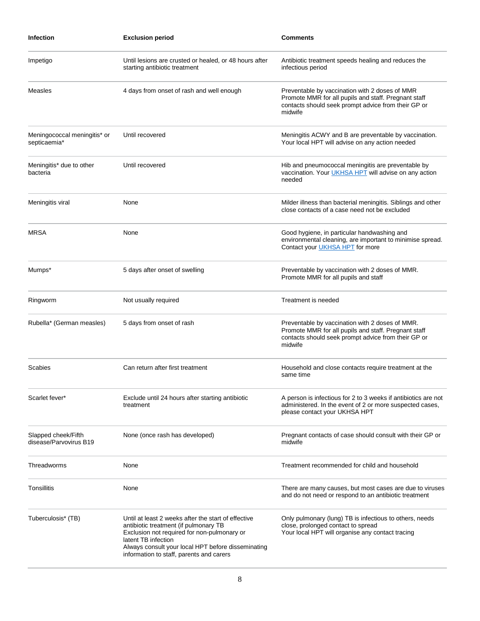| <b>Infection</b>                              | <b>Exclusion period</b>                                                                                                                                                                                                                                              | <b>Comments</b>                                                                                                                                                           |
|-----------------------------------------------|----------------------------------------------------------------------------------------------------------------------------------------------------------------------------------------------------------------------------------------------------------------------|---------------------------------------------------------------------------------------------------------------------------------------------------------------------------|
| Impetigo                                      | Until lesions are crusted or healed, or 48 hours after<br>starting antibiotic treatment                                                                                                                                                                              | Antibiotic treatment speeds healing and reduces the<br>infectious period                                                                                                  |
| Measles                                       | 4 days from onset of rash and well enough                                                                                                                                                                                                                            | Preventable by vaccination with 2 doses of MMR<br>Promote MMR for all pupils and staff. Pregnant staff<br>contacts should seek prompt advice from their GP or<br>midwife  |
| Meningococcal meningitis* or<br>septicaemia*  | Until recovered                                                                                                                                                                                                                                                      | Meningitis ACWY and B are preventable by vaccination.<br>Your local HPT will advise on any action needed                                                                  |
| Meningitis* due to other<br>bacteria          | Until recovered                                                                                                                                                                                                                                                      | Hib and pneumococcal meningitis are preventable by<br>vaccination. Your <i>UKHSA HPT</i> will advise on any action<br>needed                                              |
| Meningitis viral                              | None                                                                                                                                                                                                                                                                 | Milder illness than bacterial meningitis. Siblings and other<br>close contacts of a case need not be excluded                                                             |
| <b>MRSA</b>                                   | None                                                                                                                                                                                                                                                                 | Good hygiene, in particular handwashing and<br>environmental cleaning, are important to minimise spread.<br>Contact your <b>UKHSA HPT</b> for more                        |
| Mumps*                                        | 5 days after onset of swelling                                                                                                                                                                                                                                       | Preventable by vaccination with 2 doses of MMR.<br>Promote MMR for all pupils and staff                                                                                   |
| Ringworm                                      | Not usually required                                                                                                                                                                                                                                                 | Treatment is needed                                                                                                                                                       |
| Rubella* (German measles)                     | 5 days from onset of rash                                                                                                                                                                                                                                            | Preventable by vaccination with 2 doses of MMR.<br>Promote MMR for all pupils and staff. Pregnant staff<br>contacts should seek prompt advice from their GP or<br>midwife |
| Scabies                                       | Can return after first treatment                                                                                                                                                                                                                                     | Household and close contacts require treatment at the<br>same time                                                                                                        |
| Scarlet fever*                                | Exclude until 24 hours after starting antibiotic<br>treatment                                                                                                                                                                                                        | A person is infectious for 2 to 3 weeks if antibiotics are not<br>administered. In the event of 2 or more suspected cases,<br>please contact your UKHSA HPT               |
| Slapped cheek/Fifth<br>disease/Parvovirus B19 | None (once rash has developed)                                                                                                                                                                                                                                       | Pregnant contacts of case should consult with their GP or<br>midwife                                                                                                      |
| Threadworms                                   | None                                                                                                                                                                                                                                                                 | Treatment recommended for child and household                                                                                                                             |
| Tonsillitis                                   | None                                                                                                                                                                                                                                                                 | There are many causes, but most cases are due to viruses<br>and do not need or respond to an antibiotic treatment                                                         |
| Tuberculosis* (TB)                            | Until at least 2 weeks after the start of effective<br>antibiotic treatment (if pulmonary TB<br>Exclusion not required for non-pulmonary or<br>latent TB infection<br>Always consult your local HPT before disseminating<br>information to staff, parents and carers | Only pulmonary (lung) TB is infectious to others, needs<br>close, prolonged contact to spread<br>Your local HPT will organise any contact tracing                         |